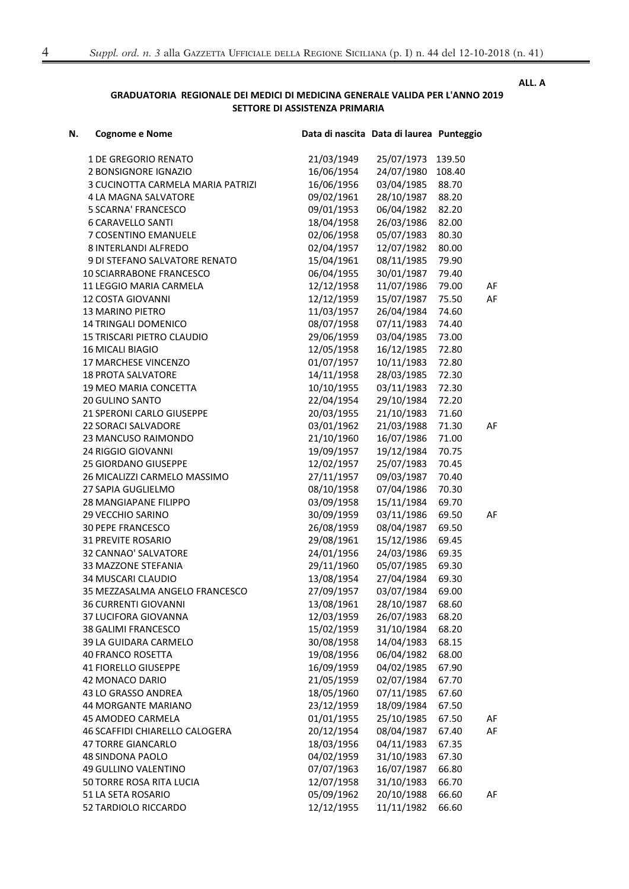## ALL. A

## GRADUATORIA REGIONALE DEI MEDICI DI MEDICINA GENERALE VALIDA PER L'ANNO 2019 SETTORE DI ASSISTENZA PRIMARIA

| N. | <b>Cognome e Nome</b>             | Data di nascita Data di laurea Punteggio |            |        |    |
|----|-----------------------------------|------------------------------------------|------------|--------|----|
|    | <b>1 DE GREGORIO RENATO</b>       | 21/03/1949                               | 25/07/1973 | 139.50 |    |
|    | 2 BONSIGNORE IGNAZIO              | 16/06/1954                               | 24/07/1980 | 108.40 |    |
|    | 3 CUCINOTTA CARMELA MARIA PATRIZI | 16/06/1956                               | 03/04/1985 | 88.70  |    |
|    | 4 LA MAGNA SALVATORE              | 09/02/1961                               | 28/10/1987 | 88.20  |    |
|    | <b>5 SCARNA' FRANCESCO</b>        | 09/01/1953                               | 06/04/1982 | 82.20  |    |
|    | <b>6 CARAVELLO SANTI</b>          | 18/04/1958                               | 26/03/1986 | 82.00  |    |
|    | 7 COSENTINO EMANUELE              | 02/06/1958                               | 05/07/1983 | 80.30  |    |
|    | 8 INTERLANDI ALFREDO              | 02/04/1957                               | 12/07/1982 | 80.00  |    |
|    | 9 DI STEFANO SALVATORE RENATO     | 15/04/1961                               | 08/11/1985 | 79.90  |    |
|    | <b>10 SCIARRABONE FRANCESCO</b>   | 06/04/1955                               | 30/01/1987 | 79.40  |    |
|    | 11 LEGGIO MARIA CARMELA           | 12/12/1958                               | 11/07/1986 | 79.00  | AF |
|    | 12 COSTA GIOVANNI                 | 12/12/1959                               | 15/07/1987 | 75.50  | AF |
|    | <b>13 MARINO PIETRO</b>           | 11/03/1957                               | 26/04/1984 | 74.60  |    |
|    | 14 TRINGALI DOMENICO              | 08/07/1958                               | 07/11/1983 | 74.40  |    |
|    | 15 TRISCARI PIETRO CLAUDIO        | 29/06/1959                               | 03/04/1985 | 73.00  |    |
|    | <b>16 MICALI BIAGIO</b>           | 12/05/1958                               | 16/12/1985 | 72.80  |    |
|    | 17 MARCHESE VINCENZO              | 01/07/1957                               | 10/11/1983 | 72.80  |    |
|    | <b>18 PROTA SALVATORE</b>         | 14/11/1958                               | 28/03/1985 | 72.30  |    |
|    | 19 MEO MARIA CONCETTA             | 10/10/1955                               | 03/11/1983 | 72.30  |    |
|    | <b>20 GULINO SANTO</b>            | 22/04/1954                               | 29/10/1984 | 72.20  |    |
|    | 21 SPERONI CARLO GIUSEPPE         | 20/03/1955                               | 21/10/1983 | 71.60  |    |
|    |                                   | 03/01/1962                               | 21/03/1988 |        |    |
|    | <b>22 SORACI SALVADORE</b>        | 21/10/1960                               | 16/07/1986 | 71.30  | AF |
|    | 23 MANCUSO RAIMONDO               |                                          |            | 71.00  |    |
|    | 24 RIGGIO GIOVANNI                | 19/09/1957                               | 19/12/1984 | 70.75  |    |
|    | 25 GIORDANO GIUSEPPE              | 12/02/1957                               | 25/07/1983 | 70.45  |    |
|    | 26 MICALIZZI CARMELO MASSIMO      | 27/11/1957                               | 09/03/1987 | 70.40  |    |
|    | 27 SAPIA GUGLIELMO                | 08/10/1958                               | 07/04/1986 | 70.30  |    |
|    | 28 MANGIAPANE FILIPPO             | 03/09/1958                               | 15/11/1984 | 69.70  |    |
|    | 29 VECCHIO SARINO                 | 30/09/1959                               | 03/11/1986 | 69.50  | AF |
|    | <b>30 PEPE FRANCESCO</b>          | 26/08/1959                               | 08/04/1987 | 69.50  |    |
|    | <b>31 PREVITE ROSARIO</b>         | 29/08/1961                               | 15/12/1986 | 69.45  |    |
|    | 32 CANNAO' SALVATORE              | 24/01/1956                               | 24/03/1986 | 69.35  |    |
|    | 33 MAZZONE STEFANIA               | 29/11/1960                               | 05/07/1985 | 69.30  |    |
|    | 34 MUSCARI CLAUDIO                | 13/08/1954                               | 27/04/1984 | 69.30  |    |
|    | 35 MEZZASALMA ANGELO FRANCESCO    | 27/09/1957                               | 03/07/1984 | 69.00  |    |
|    | <b>36 CURRENTI GIOVANNI</b>       | 13/08/1961                               | 28/10/1987 | 68.60  |    |
|    | 37 LUCIFORA GIOVANNA              | 12/03/1959                               | 26/07/1983 | 68.20  |    |
|    | 38 GALIMI FRANCESCO               | 15/02/1959                               | 31/10/1984 | 68.20  |    |
|    | 39 LA GUIDARA CARMELO             | 30/08/1958                               | 14/04/1983 | 68.15  |    |
|    | <b>40 FRANCO ROSETTA</b>          | 19/08/1956                               | 06/04/1982 | 68.00  |    |
|    | <b>41 FIORELLO GIUSEPPE</b>       | 16/09/1959                               | 04/02/1985 | 67.90  |    |
|    | 42 MONACO DARIO                   | 21/05/1959                               | 02/07/1984 | 67.70  |    |
|    | 43 LO GRASSO ANDREA               | 18/05/1960                               | 07/11/1985 | 67.60  |    |
|    | 44 MORGANTE MARIANO               | 23/12/1959                               | 18/09/1984 | 67.50  |    |
|    | 45 AMODEO CARMELA                 | 01/01/1955                               | 25/10/1985 | 67.50  | AF |
|    | 46 SCAFFIDI CHIARELLO CALOGERA    | 20/12/1954                               | 08/04/1987 | 67.40  | AF |
|    | <b>47 TORRE GIANCARLO</b>         | 18/03/1956                               | 04/11/1983 | 67.35  |    |
|    | <b>48 SINDONA PAOLO</b>           | 04/02/1959                               | 31/10/1983 | 67.30  |    |
|    | 49 GULLINO VALENTINO              | 07/07/1963                               | 16/07/1987 | 66.80  |    |
|    | 50 TORRE ROSA RITA LUCIA          | 12/07/1958                               | 31/10/1983 | 66.70  |    |
|    | 51 LA SETA ROSARIO                | 05/09/1962                               | 20/10/1988 | 66.60  | AF |
|    | 52 TARDIOLO RICCARDO              | 12/12/1955                               | 11/11/1982 | 66.60  |    |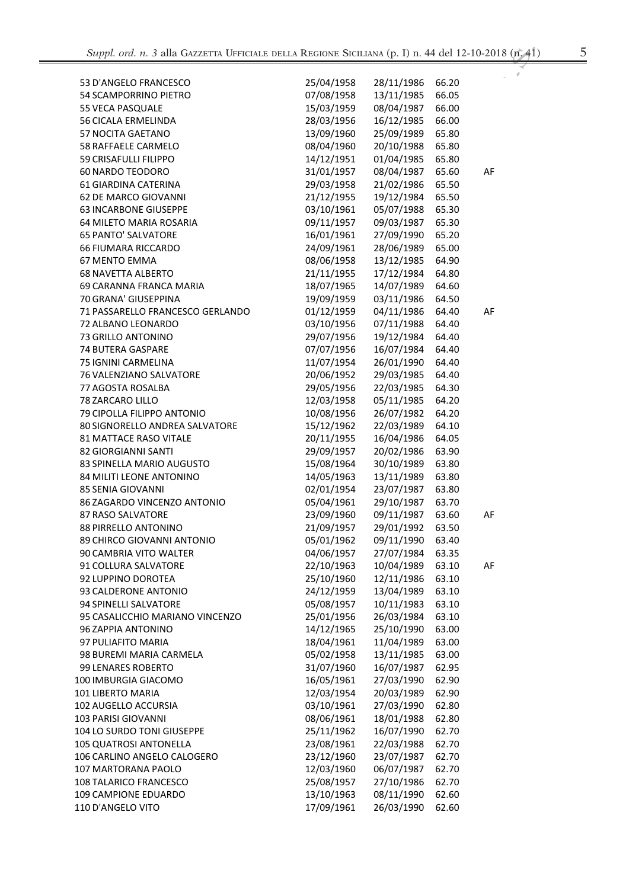| 53 D'ANGELO FRANCESCO            | 25/04/1958 | 28/11/1986 | 66.20 |    |
|----------------------------------|------------|------------|-------|----|
| 54 SCAMPORRINO PIETRO            | 07/08/1958 | 13/11/1985 | 66.05 |    |
| 55 VECA PASQUALE                 | 15/03/1959 | 08/04/1987 | 66.00 |    |
| <b>56 CICALA ERMELINDA</b>       | 28/03/1956 | 16/12/1985 | 66.00 |    |
| 57 NOCITA GAETANO                | 13/09/1960 | 25/09/1989 | 65.80 |    |
| 58 RAFFAELE CARMELO              | 08/04/1960 | 20/10/1988 | 65.80 |    |
| 59 CRISAFULLI FILIPPO            | 14/12/1951 | 01/04/1985 | 65.80 |    |
| <b>60 NARDO TEODORO</b>          | 31/01/1957 | 08/04/1987 | 65.60 | AF |
| 61 GIARDINA CATERINA             | 29/03/1958 | 21/02/1986 | 65.50 |    |
| 62 DE MARCO GIOVANNI             | 21/12/1955 | 19/12/1984 | 65.50 |    |
| <b>63 INCARBONE GIUSEPPE</b>     | 03/10/1961 | 05/07/1988 | 65.30 |    |
| 64 MILETO MARIA ROSARIA          | 09/11/1957 | 09/03/1987 | 65.30 |    |
| <b>65 PANTO' SALVATORE</b>       | 16/01/1961 | 27/09/1990 | 65.20 |    |
| <b>66 FIUMARA RICCARDO</b>       | 24/09/1961 | 28/06/1989 | 65.00 |    |
| <b>67 MENTO EMMA</b>             | 08/06/1958 | 13/12/1985 | 64.90 |    |
| <b>68 NAVETTA ALBERTO</b>        | 21/11/1955 | 17/12/1984 | 64.80 |    |
| 69 CARANNA FRANCA MARIA          | 18/07/1965 | 14/07/1989 | 64.60 |    |
| 70 GRANA' GIUSEPPINA             | 19/09/1959 | 03/11/1986 | 64.50 |    |
| 71 PASSARELLO FRANCESCO GERLANDO | 01/12/1959 | 04/11/1986 | 64.40 | AF |
| 72 ALBANO LEONARDO               | 03/10/1956 | 07/11/1988 | 64.40 |    |
| 73 GRILLO ANTONINO               | 29/07/1956 | 19/12/1984 | 64.40 |    |
| 74 BUTERA GASPARE                | 07/07/1956 | 16/07/1984 | 64.40 |    |
| 75 IGNINI CARMELINA              | 11/07/1954 | 26/01/1990 | 64.40 |    |
| 76 VALENZIANO SALVATORE          | 20/06/1952 | 29/03/1985 | 64.40 |    |
| 77 AGOSTA ROSALBA                | 29/05/1956 | 22/03/1985 | 64.30 |    |
| 78 ZARCARO LILLO                 | 12/03/1958 | 05/11/1985 | 64.20 |    |
| 79 CIPOLLA FILIPPO ANTONIO       | 10/08/1956 | 26/07/1982 | 64.20 |    |
| 80 SIGNORELLO ANDREA SALVATORE   | 15/12/1962 | 22/03/1989 | 64.10 |    |
| 81 MATTACE RASO VITALE           | 20/11/1955 | 16/04/1986 | 64.05 |    |
| 82 GIORGIANNI SANTI              | 29/09/1957 | 20/02/1986 | 63.90 |    |
| 83 SPINELLA MARIO AUGUSTO        | 15/08/1964 | 30/10/1989 | 63.80 |    |
| 84 MILITI LEONE ANTONINO         | 14/05/1963 | 13/11/1989 | 63.80 |    |
| <b>85 SENIA GIOVANNI</b>         | 02/01/1954 | 23/07/1987 | 63.80 |    |
| 86 ZAGARDO VINCENZO ANTONIO      | 05/04/1961 | 29/10/1987 | 63.70 |    |
| <b>87 RASO SALVATORE</b>         | 23/09/1960 | 09/11/1987 | 63.60 | AF |
| 88 PIRRELLO ANTONINO             | 21/09/1957 | 29/01/1992 | 63.50 |    |
| 89 CHIRCO GIOVANNI ANTONIO       | 05/01/1962 | 09/11/1990 | 63.40 |    |
| 90 CAMBRIA VITO WALTER           | 04/06/1957 | 27/07/1984 | 63.35 |    |
| 91 COLLURA SALVATORE             | 22/10/1963 | 10/04/1989 | 63.10 | AF |
| 92 LUPPINO DOROTEA               | 25/10/1960 | 12/11/1986 | 63.10 |    |
| 93 CALDERONE ANTONIO             | 24/12/1959 | 13/04/1989 | 63.10 |    |
| 94 SPINELLI SALVATORE            | 05/08/1957 | 10/11/1983 | 63.10 |    |
| 95 CASALICCHIO MARIANO VINCENZO  | 25/01/1956 | 26/03/1984 | 63.10 |    |
| 96 ZAPPIA ANTONINO               | 14/12/1965 | 25/10/1990 | 63.00 |    |
| 97 PULIAFITO MARIA               | 18/04/1961 | 11/04/1989 | 63.00 |    |
| 98 BUREMI MARIA CARMELA          | 05/02/1958 | 13/11/1985 | 63.00 |    |
| <b>99 LENARES ROBERTO</b>        | 31/07/1960 |            |       |    |
|                                  |            | 16/07/1987 | 62.95 |    |
| 100 IMBURGIA GIACOMO             | 16/05/1961 | 27/03/1990 | 62.90 |    |
| 101 LIBERTO MARIA                | 12/03/1954 | 20/03/1989 | 62.90 |    |
| 102 AUGELLO ACCURSIA             | 03/10/1961 | 27/03/1990 | 62.80 |    |
| 103 PARISI GIOVANNI              | 08/06/1961 | 18/01/1988 | 62.80 |    |
| 104 LO SURDO TONI GIUSEPPE       | 25/11/1962 | 16/07/1990 | 62.70 |    |
| 105 QUATROSI ANTONELLA           | 23/08/1961 | 22/03/1988 | 62.70 |    |
| 106 CARLINO ANGELO CALOGERO      | 23/12/1960 | 23/07/1987 | 62.70 |    |
| 107 MARTORANA PAOLO              | 12/03/1960 | 06/07/1987 | 62.70 |    |
| 108 TALARICO FRANCESCO           | 25/08/1957 | 27/10/1986 | 62.70 |    |
| 109 CAMPIONE EDUARDO             | 13/10/1963 | 08/11/1990 | 62.60 |    |
| 110 D'ANGELO VITO                | 17/09/1961 | 26/03/1990 | 62.60 |    |

 $\boldsymbol{\rho}$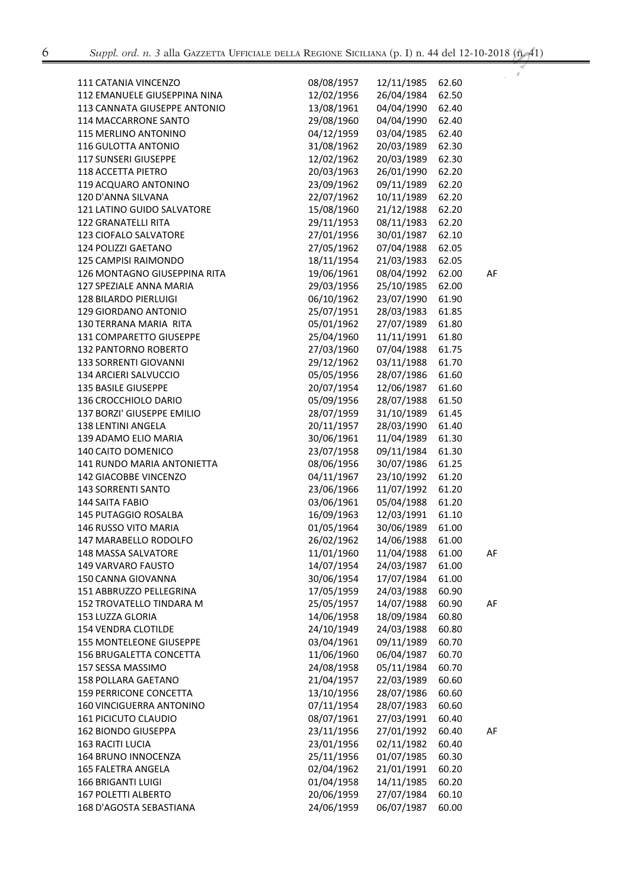$\boldsymbol{\delta}$ 

| <b>111 CATANIA VINCENZO</b>    | 08/08/1957 | 12/11/1985 | 62.60 |    |
|--------------------------------|------------|------------|-------|----|
| 112 EMANUELE GIUSEPPINA NINA   | 12/02/1956 | 26/04/1984 | 62.50 |    |
| 113 CANNATA GIUSEPPE ANTONIO   |            |            |       |    |
|                                | 13/08/1961 | 04/04/1990 | 62.40 |    |
| <b>114 MACCARRONE SANTO</b>    | 29/08/1960 | 04/04/1990 | 62.40 |    |
| 115 MERLINO ANTONINO           | 04/12/1959 | 03/04/1985 | 62.40 |    |
| 116 GULOTTA ANTONIO            | 31/08/1962 | 20/03/1989 | 62.30 |    |
| 117 SUNSERI GIUSEPPE           | 12/02/1962 | 20/03/1989 | 62.30 |    |
| 118 ACCETTA PIETRO             | 20/03/1963 | 26/01/1990 | 62.20 |    |
| 119 ACQUARO ANTONINO           | 23/09/1962 | 09/11/1989 | 62.20 |    |
| 120 D'ANNA SILVANA             | 22/07/1962 | 10/11/1989 | 62.20 |    |
| 121 LATINO GUIDO SALVATORE     | 15/08/1960 | 21/12/1988 | 62.20 |    |
| 122 GRANATELLI RITA            | 29/11/1953 | 08/11/1983 | 62.20 |    |
| 123 CIOFALO SALVATORE          | 27/01/1956 | 30/01/1987 | 62.10 |    |
| 124 POLIZZI GAETANO            | 27/05/1962 | 07/04/1988 | 62.05 |    |
| 125 CAMPISI RAIMONDO           | 18/11/1954 | 21/03/1983 | 62.05 |    |
| 126 MONTAGNO GIUSEPPINA RITA   | 19/06/1961 | 08/04/1992 | 62.00 | AF |
| 127 SPEZIALE ANNA MARIA        | 29/03/1956 | 25/10/1985 | 62.00 |    |
| 128 BILARDO PIERLUIGI          | 06/10/1962 | 23/07/1990 | 61.90 |    |
| 129 GIORDANO ANTONIO           | 25/07/1951 | 28/03/1983 | 61.85 |    |
| 130 TERRANA MARIA RITA         | 05/01/1962 | 27/07/1989 | 61.80 |    |
| 131 COMPARETTO GIUSEPPE        | 25/04/1960 | 11/11/1991 | 61.80 |    |
| 132 PANTORNO ROBERTO           | 27/03/1960 | 07/04/1988 | 61.75 |    |
| 133 SORRENTI GIOVANNI          | 29/12/1962 | 03/11/1988 | 61.70 |    |
| 134 ARCIERI SALVUCCIO          | 05/05/1956 | 28/07/1986 | 61.60 |    |
| 135 BASILE GIUSEPPE            | 20/07/1954 | 12/06/1987 | 61.60 |    |
| 136 CROCCHIOLO DARIO           | 05/09/1956 | 28/07/1988 | 61.50 |    |
| 137 BORZI' GIUSEPPE EMILIO     | 28/07/1959 | 31/10/1989 | 61.45 |    |
| 138 LENTINI ANGELA             | 20/11/1957 | 28/03/1990 | 61.40 |    |
| 139 ADAMO ELIO MARIA           | 30/06/1961 | 11/04/1989 | 61.30 |    |
| 140 CAITO DOMENICO             | 23/07/1958 | 09/11/1984 | 61.30 |    |
| 141 RUNDO MARIA ANTONIETTA     | 08/06/1956 |            | 61.25 |    |
|                                |            | 30/07/1986 |       |    |
| 142 GIACOBBE VINCENZO          | 04/11/1967 | 23/10/1992 | 61.20 |    |
| <b>143 SORRENTI SANTO</b>      | 23/06/1966 | 11/07/1992 | 61.20 |    |
| 144 SAITA FABIO                | 03/06/1961 | 05/04/1988 | 61.20 |    |
| 145 PUTAGGIO ROSALBA           | 16/09/1963 | 12/03/1991 | 61.10 |    |
| 146 RUSSO VITO MARIA           | 01/05/1964 | 30/06/1989 | 61.00 |    |
| 147 MARABELLO RODOLFO          | 26/02/1962 | 14/06/1988 | 61.00 |    |
| 148 MASSA SALVATORE            | 11/01/1960 | 11/04/1988 | 61.00 | AF |
| <b>149 VARVARO FAUSTO</b>      | 14/07/1954 | 24/03/1987 | 61.00 |    |
| 150 CANNA GIOVANNA             | 30/06/1954 | 17/07/1984 | 61.00 |    |
| 151 ABBRUZZO PELLEGRINA        | 17/05/1959 | 24/03/1988 | 60.90 |    |
| 152 TROVATELLO TINDARA M       | 25/05/1957 | 14/07/1988 | 60.90 | AF |
| 153 LUZZA GLORIA               | 14/06/1958 | 18/09/1984 | 60.80 |    |
| <b>154 VENDRA CLOTILDE</b>     | 24/10/1949 | 24/03/1988 | 60.80 |    |
| <b>155 MONTELEONE GIUSEPPE</b> | 03/04/1961 | 09/11/1989 | 60.70 |    |
| 156 BRUGALETTA CONCETTA        | 11/06/1960 | 06/04/1987 | 60.70 |    |
| 157 SESSA MASSIMO              | 24/08/1958 | 05/11/1984 | 60.70 |    |
| 158 POLLARA GAETANO            | 21/04/1957 | 22/03/1989 | 60.60 |    |
| <b>159 PERRICONE CONCETTA</b>  | 13/10/1956 | 28/07/1986 | 60.60 |    |
| 160 VINCIGUERRA ANTONINO       | 07/11/1954 | 28/07/1983 | 60.60 |    |
| <b>161 PICICUTO CLAUDIO</b>    | 08/07/1961 | 27/03/1991 | 60.40 |    |
| <b>162 BIONDO GIUSEPPA</b>     | 23/11/1956 | 27/01/1992 | 60.40 | AF |
| <b>163 RACITI LUCIA</b>        | 23/01/1956 | 02/11/1982 | 60.40 |    |
| 164 BRUNO INNOCENZA            | 25/11/1956 | 01/07/1985 | 60.30 |    |
| 165 FALETRA ANGELA             | 02/04/1962 | 21/01/1991 | 60.20 |    |
| <b>166 BRIGANTI LUIGI</b>      | 01/04/1958 | 14/11/1985 | 60.20 |    |
| <b>167 POLETTI ALBERTO</b>     | 20/06/1959 | 27/07/1984 | 60.10 |    |
| 168 D'AGOSTA SEBASTIANA        | 24/06/1959 | 06/07/1987 | 60.00 |    |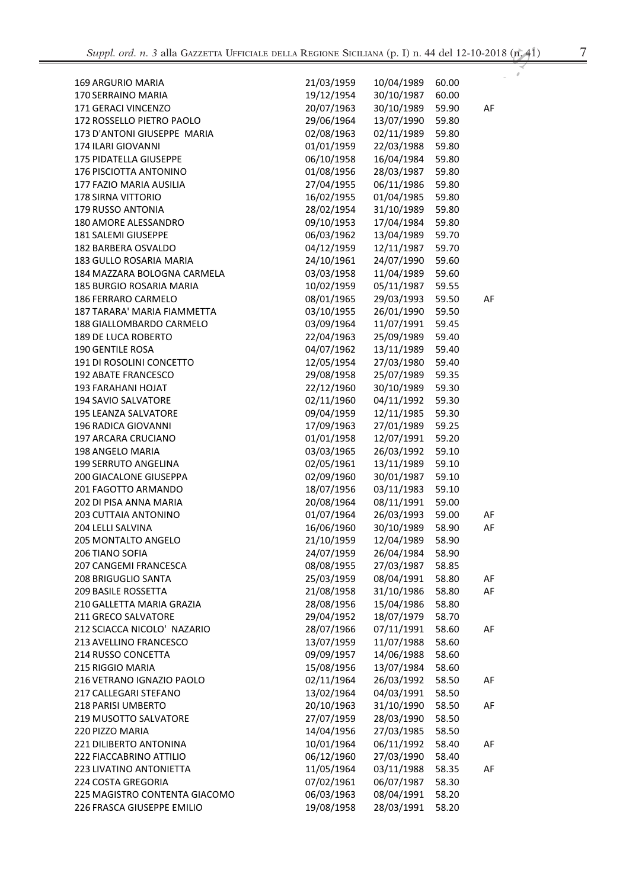| <b>169 ARGURIO MARIA</b>      | 21/03/1959 | 10/04/1989 | 60.00 |    |
|-------------------------------|------------|------------|-------|----|
| 170 SERRAINO MARIA            | 19/12/1954 | 30/10/1987 | 60.00 |    |
| 171 GERACI VINCENZO           | 20/07/1963 | 30/10/1989 | 59.90 | AF |
| 172 ROSSELLO PIETRO PAOLO     | 29/06/1964 | 13/07/1990 | 59.80 |    |
| 173 D'ANTONI GIUSEPPE MARIA   | 02/08/1963 | 02/11/1989 | 59.80 |    |
| 174 ILARI GIOVANNI            | 01/01/1959 | 22/03/1988 | 59.80 |    |
| 175 PIDATELLA GIUSEPPE        | 06/10/1958 | 16/04/1984 | 59.80 |    |
| 176 PISCIOTTA ANTONINO        | 01/08/1956 | 28/03/1987 | 59.80 |    |
| 177 FAZIO MARIA AUSILIA       | 27/04/1955 | 06/11/1986 | 59.80 |    |
| <b>178 SIRNA VITTORIO</b>     | 16/02/1955 | 01/04/1985 | 59.80 |    |
| 179 RUSSO ANTONIA             | 28/02/1954 | 31/10/1989 | 59.80 |    |
| 180 AMORE ALESSANDRO          | 09/10/1953 | 17/04/1984 | 59.80 |    |
| 181 SALEMI GIUSEPPE           | 06/03/1962 | 13/04/1989 | 59.70 |    |
| 182 BARBERA OSVALDO           | 04/12/1959 | 12/11/1987 | 59.70 |    |
| 183 GULLO ROSARIA MARIA       | 24/10/1961 | 24/07/1990 | 59.60 |    |
| 184 MAZZARA BOLOGNA CARMELA   | 03/03/1958 | 11/04/1989 | 59.60 |    |
| 185 BURGIO ROSARIA MARIA      | 10/02/1959 | 05/11/1987 | 59.55 |    |
| 186 FERRARO CARMELO           | 08/01/1965 | 29/03/1993 | 59.50 | AF |
| 187 TARARA' MARIA FIAMMETTA   | 03/10/1955 | 26/01/1990 | 59.50 |    |
| 188 GIALLOMBARDO CARMELO      | 03/09/1964 | 11/07/1991 | 59.45 |    |
| <b>189 DE LUCA ROBERTO</b>    | 22/04/1963 | 25/09/1989 | 59.40 |    |
| <b>190 GENTILE ROSA</b>       | 04/07/1962 | 13/11/1989 | 59.40 |    |
| 191 DI ROSOLINI CONCETTO      | 12/05/1954 | 27/03/1980 | 59.40 |    |
| <b>192 ABATE FRANCESCO</b>    | 29/08/1958 | 25/07/1989 | 59.35 |    |
| <b>193 FARAHANI HOJAT</b>     | 22/12/1960 | 30/10/1989 | 59.30 |    |
| 194 SAVIO SALVATORE           | 02/11/1960 | 04/11/1992 | 59.30 |    |
| 195 LEANZA SALVATORE          | 09/04/1959 | 12/11/1985 | 59.30 |    |
| 196 RADICA GIOVANNI           | 17/09/1963 | 27/01/1989 | 59.25 |    |
| 197 ARCARA CRUCIANO           | 01/01/1958 | 12/07/1991 | 59.20 |    |
| 198 ANGELO MARIA              | 03/03/1965 | 26/03/1992 | 59.10 |    |
| 199 SERRUTO ANGELINA          | 02/05/1961 | 13/11/1989 | 59.10 |    |
| 200 GIACALONE GIUSEPPA        | 02/09/1960 | 30/01/1987 | 59.10 |    |
| 201 FAGOTTO ARMANDO           | 18/07/1956 | 03/11/1983 | 59.10 |    |
| 202 DI PISA ANNA MARIA        | 20/08/1964 | 08/11/1991 | 59.00 |    |
| 203 CUTTAIA ANTONINO          | 01/07/1964 | 26/03/1993 | 59.00 | AF |
| 204 LELLI SALVINA             | 16/06/1960 | 30/10/1989 | 58.90 | AF |
| 205 MONTALTO ANGELO           | 21/10/1959 | 12/04/1989 | 58.90 |    |
| 206 TIANO SOFIA               | 24/07/1959 | 26/04/1984 | 58.90 |    |
| 207 CANGEMI FRANCESCA         | 08/08/1955 | 27/03/1987 | 58.85 |    |
| 208 BRIGUGLIO SANTA           | 25/03/1959 | 08/04/1991 | 58.80 | AF |
| <b>209 BASILE ROSSETTA</b>    | 21/08/1958 | 31/10/1986 | 58.80 | AF |
| 210 GALLETTA MARIA GRAZIA     | 28/08/1956 | 15/04/1986 | 58.80 |    |
| 211 GRECO SALVATORE           | 29/04/1952 | 18/07/1979 | 58.70 |    |
| 212 SCIACCA NICOLO' NAZARIO   | 28/07/1966 | 07/11/1991 | 58.60 | AF |
| 213 AVELLINO FRANCESCO        | 13/07/1959 | 11/07/1988 | 58.60 |    |
| 214 RUSSO CONCETTA            | 09/09/1957 | 14/06/1988 | 58.60 |    |
| 215 RIGGIO MARIA              | 15/08/1956 | 13/07/1984 | 58.60 |    |
| 216 VETRANO IGNAZIO PAOLO     | 02/11/1964 | 26/03/1992 | 58.50 | AF |
| 217 CALLEGARI STEFANO         | 13/02/1964 | 04/03/1991 | 58.50 |    |
| 218 PARISI UMBERTO            | 20/10/1963 | 31/10/1990 | 58.50 | AF |
| 219 MUSOTTO SALVATORE         | 27/07/1959 | 28/03/1990 | 58.50 |    |
| 220 PIZZO MARIA               | 14/04/1956 | 27/03/1985 | 58.50 |    |
| <b>221 DILIBERTO ANTONINA</b> | 10/01/1964 | 06/11/1992 | 58.40 | AF |
| 222 FIACCABRINO ATTILIO       | 06/12/1960 | 27/03/1990 | 58.40 |    |
| 223 LIVATINO ANTONIETTA       | 11/05/1964 | 03/11/1988 | 58.35 | AF |
| 224 COSTA GREGORIA            | 07/02/1961 | 06/07/1987 | 58.30 |    |
| 225 MAGISTRO CONTENTA GIACOMO | 06/03/1963 | 08/04/1991 | 58.20 |    |
| 226 FRASCA GIUSEPPE EMILIO    | 19/08/1958 | 28/03/1991 | 58.20 |    |

 $\boldsymbol{\rho}$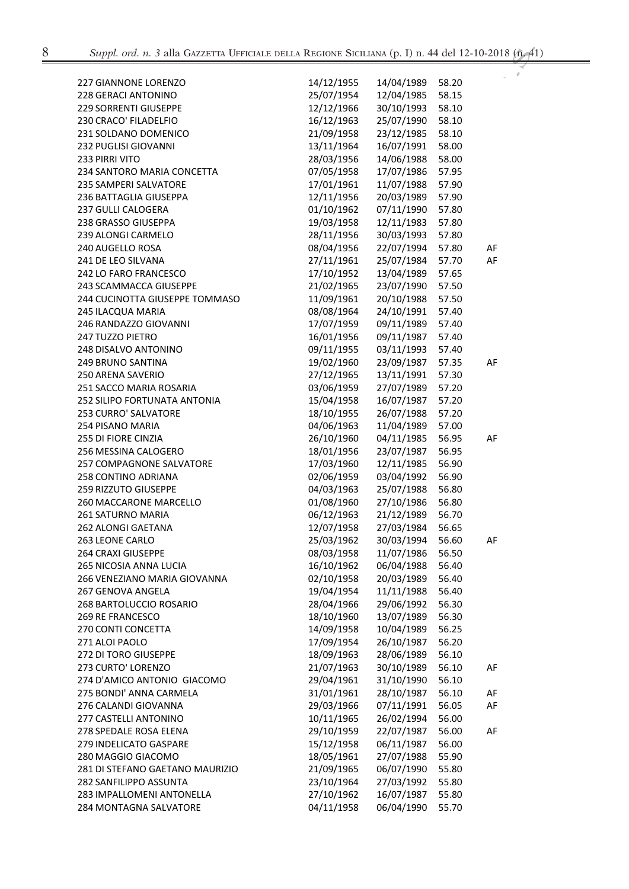$\boldsymbol{\sigma}$ 

| <b>227 GIANNONE LORENZO</b>     | 14/12/1955               | 14/04/1989 | 58.20 |    |
|---------------------------------|--------------------------|------------|-------|----|
| 228 GERACI ANTONINO             | 25/07/1954               | 12/04/1985 | 58.15 |    |
| 229 SORRENTI GIUSEPPE           | 12/12/1966               | 30/10/1993 | 58.10 |    |
| 230 CRACO' FILADELFIO           | 16/12/1963               | 25/07/1990 | 58.10 |    |
| 231 SOLDANO DOMENICO            | 21/09/1958               | 23/12/1985 | 58.10 |    |
| 232 PUGLISI GIOVANNI            | 13/11/1964               | 16/07/1991 | 58.00 |    |
| 233 PIRRI VITO                  | 28/03/1956               | 14/06/1988 | 58.00 |    |
| 234 SANTORO MARIA CONCETTA      | 07/05/1958               | 17/07/1986 | 57.95 |    |
| 235 SAMPERI SALVATORE           | 17/01/1961               | 11/07/1988 | 57.90 |    |
| <b>236 BATTAGLIA GIUSEPPA</b>   | 12/11/1956               | 20/03/1989 | 57.90 |    |
| <b>237 GULLI CALOGERA</b>       | 01/10/1962               | 07/11/1990 | 57.80 |    |
| 238 GRASSO GIUSEPPA             | 19/03/1958               | 12/11/1983 | 57.80 |    |
| 239 ALONGI CARMELO              | 28/11/1956               | 30/03/1993 | 57.80 |    |
| 240 AUGELLO ROSA                | 08/04/1956               | 22/07/1994 | 57.80 | AF |
| 241 DE LEO SILVANA              | 27/11/1961               | 25/07/1984 | 57.70 | AF |
| <b>242 LO FARO FRANCESCO</b>    | 17/10/1952               | 13/04/1989 | 57.65 |    |
| 243 SCAMMACCA GIUSEPPE          | 21/02/1965               | 23/07/1990 | 57.50 |    |
| 244 CUCINOTTA GIUSEPPE TOMMASO  | 11/09/1961               | 20/10/1988 | 57.50 |    |
| 245 ILACQUA MARIA               | 08/08/1964               | 24/10/1991 | 57.40 |    |
| 246 RANDAZZO GIOVANNI           | 17/07/1959               | 09/11/1989 | 57.40 |    |
| 247 TUZZO PIETRO                | 16/01/1956               | 09/11/1987 | 57.40 |    |
| 248 DISALVO ANTONINO            | 09/11/1955               | 03/11/1993 | 57.40 |    |
| 249 BRUNO SANTINA               | 19/02/1960               | 23/09/1987 | 57.35 | AF |
| 250 ARENA SAVERIO               | 27/12/1965               | 13/11/1991 | 57.30 |    |
| 251 SACCO MARIA ROSARIA         | 03/06/1959               | 27/07/1989 | 57.20 |    |
| 252 SILIPO FORTUNATA ANTONIA    | 15/04/1958               | 16/07/1987 | 57.20 |    |
| 253 CURRO' SALVATORE            | 18/10/1955               | 26/07/1988 | 57.20 |    |
| 254 PISANO MARIA                | 04/06/1963               | 11/04/1989 | 57.00 |    |
| 255 DI FIORE CINZIA             | 26/10/1960               | 04/11/1985 | 56.95 | AF |
| 256 MESSINA CALOGERO            |                          |            | 56.95 |    |
|                                 | 18/01/1956<br>17/03/1960 | 23/07/1987 |       |    |
| 257 COMPAGNONE SALVATORE        |                          | 12/11/1985 | 56.90 |    |
| 258 CONTINO ADRIANA             | 02/06/1959               | 03/04/1992 | 56.90 |    |
| 259 RIZZUTO GIUSEPPE            | 04/03/1963               | 25/07/1988 | 56.80 |    |
| 260 MACCARONE MARCELLO          | 01/08/1960               | 27/10/1986 | 56.80 |    |
| 261 SATURNO MARIA               | 06/12/1963               | 21/12/1989 | 56.70 |    |
| 262 ALONGI GAETANA              | 12/07/1958               | 27/03/1984 | 56.65 |    |
| 263 LEONE CARLO                 | 25/03/1962               | 30/03/1994 | 56.60 | AF |
| 264 CRAXI GIUSEPPE              | 08/03/1958               | 11/07/1986 | 56.50 |    |
| 265 NICOSIA ANNA LUCIA          | 16/10/1962               | 06/04/1988 | 56.40 |    |
| 266 VENEZIANO MARIA GIOVANNA    | 02/10/1958               | 20/03/1989 | 56.40 |    |
| <b>267 GENOVA ANGELA</b>        | 19/04/1954               | 11/11/1988 | 56.40 |    |
| 268 BARTOLUCCIO ROSARIO         | 28/04/1966               | 29/06/1992 | 56.30 |    |
| <b>269 RE FRANCESCO</b>         | 18/10/1960               | 13/07/1989 | 56.30 |    |
| 270 CONTI CONCETTA              | 14/09/1958               | 10/04/1989 | 56.25 |    |
| 271 ALOI PAOLO                  | 17/09/1954               | 26/10/1987 | 56.20 |    |
| 272 DI TORO GIUSEPPE            | 18/09/1963               | 28/06/1989 | 56.10 |    |
| 273 CURTO' LORENZO              | 21/07/1963               | 30/10/1989 | 56.10 | AF |
| 274 D'AMICO ANTONIO GIACOMO     | 29/04/1961               | 31/10/1990 | 56.10 |    |
| 275 BONDI' ANNA CARMELA         | 31/01/1961               | 28/10/1987 | 56.10 | AF |
| 276 CALANDI GIOVANNA            | 29/03/1966               | 07/11/1991 | 56.05 | AF |
| 277 CASTELLI ANTONINO           | 10/11/1965               | 26/02/1994 | 56.00 |    |
| 278 SPEDALE ROSA ELENA          | 29/10/1959               | 22/07/1987 | 56.00 | AF |
| 279 INDELICATO GASPARE          | 15/12/1958               | 06/11/1987 | 56.00 |    |
| 280 MAGGIO GIACOMO              | 18/05/1961               | 27/07/1988 | 55.90 |    |
| 281 DI STEFANO GAETANO MAURIZIO | 21/09/1965               | 06/07/1990 | 55.80 |    |
| 282 SANFILIPPO ASSUNTA          | 23/10/1964               | 27/03/1992 | 55.80 |    |
| 283 IMPALLOMENI ANTONELLA       | 27/10/1962               | 16/07/1987 | 55.80 |    |
| 284 MONTAGNA SALVATORE          | 04/11/1958               | 06/04/1990 | 55.70 |    |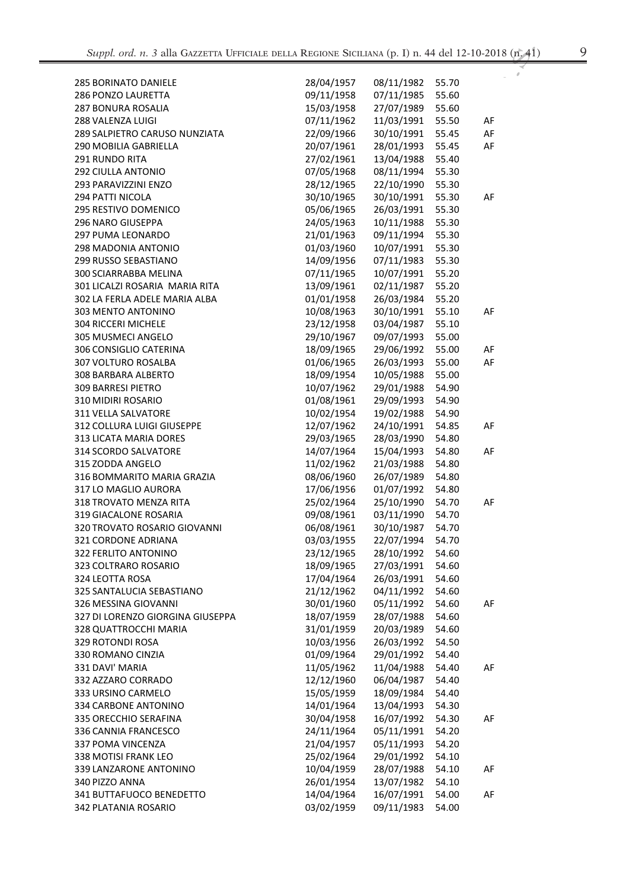| <b>285 BORINATO DANIELE</b>                  | 28/04/1957 | 08/11/1982 | 55.70          |    |
|----------------------------------------------|------------|------------|----------------|----|
| 286 PONZO LAURETTA                           | 09/11/1958 | 07/11/1985 | 55.60          |    |
| <b>287 BONURA ROSALIA</b>                    | 15/03/1958 | 27/07/1989 | 55.60          |    |
| 288 VALENZA LUIGI                            | 07/11/1962 | 11/03/1991 | 55.50          | AF |
| 289 SALPIETRO CARUSO NUNZIATA                | 22/09/1966 | 30/10/1991 | 55.45          | AF |
| 290 MOBILIA GABRIELLA                        | 20/07/1961 | 28/01/1993 | 55.45          | AF |
| 291 RUNDO RITA                               | 27/02/1961 | 13/04/1988 | 55.40          |    |
| 292 CIULLA ANTONIO                           | 07/05/1968 | 08/11/1994 | 55.30          |    |
| 293 PARAVIZZINI ENZO                         | 28/12/1965 | 22/10/1990 | 55.30          |    |
| 294 PATTI NICOLA                             | 30/10/1965 | 30/10/1991 | 55.30          | AF |
| 295 RESTIVO DOMENICO                         | 05/06/1965 | 26/03/1991 | 55.30          |    |
| 296 NARO GIUSEPPA                            | 24/05/1963 | 10/11/1988 | 55.30          |    |
| 297 PUMA LEONARDO                            | 21/01/1963 | 09/11/1994 | 55.30          |    |
| 298 MADONIA ANTONIO                          | 01/03/1960 | 10/07/1991 | 55.30          |    |
| 299 RUSSO SEBASTIANO                         | 14/09/1956 | 07/11/1983 | 55.30          |    |
| 300 SCIARRABBA MELINA                        | 07/11/1965 | 10/07/1991 | 55.20          |    |
| 301 LICALZI ROSARIA MARIA RITA               | 13/09/1961 | 02/11/1987 | 55.20          |    |
| 302 LA FERLA ADELE MARIA ALBA                | 01/01/1958 | 26/03/1984 | 55.20          |    |
| 303 MENTO ANTONINO                           | 10/08/1963 | 30/10/1991 | 55.10          | AF |
| <b>304 RICCERI MICHELE</b>                   | 23/12/1958 | 03/04/1987 | 55.10          |    |
| 305 MUSMECI ANGELO                           | 29/10/1967 | 09/07/1993 | 55.00          |    |
| 306 CONSIGLIO CATERINA                       | 18/09/1965 | 29/06/1992 | 55.00          | AF |
| 307 VOLTURO ROSALBA                          | 01/06/1965 | 26/03/1993 | 55.00          | AF |
| 308 BARBARA ALBERTO                          | 18/09/1954 | 10/05/1988 | 55.00          |    |
| <b>309 BARRESI PIETRO</b>                    | 10/07/1962 | 29/01/1988 | 54.90          |    |
| 310 MIDIRI ROSARIO                           | 01/08/1961 | 29/09/1993 | 54.90          |    |
| 311 VELLA SALVATORE                          | 10/02/1954 | 19/02/1988 | 54.90          |    |
| 312 COLLURA LUIGI GIUSEPPE                   | 12/07/1962 | 24/10/1991 | 54.85          | AF |
| 313 LICATA MARIA DORES                       | 29/03/1965 | 28/03/1990 | 54.80          |    |
| 314 SCORDO SALVATORE                         | 14/07/1964 | 15/04/1993 | 54.80          | AF |
| 315 ZODDA ANGELO                             | 11/02/1962 | 21/03/1988 | 54.80          |    |
| 316 BOMMARITO MARIA GRAZIA                   | 08/06/1960 | 26/07/1989 | 54.80          |    |
| 317 LO MAGLIO AURORA                         | 17/06/1956 | 01/07/1992 | 54.80          |    |
| 318 TROVATO MENZA RITA                       | 25/02/1964 | 25/10/1990 | 54.70          | AF |
| 319 GIACALONE ROSARIA                        | 09/08/1961 | 03/11/1990 | 54.70          |    |
| 320 TROVATO ROSARIO GIOVANNI                 | 06/08/1961 | 30/10/1987 | 54.70          |    |
| 321 CORDONE ADRIANA                          | 03/03/1955 | 22/07/1994 | 54.70          |    |
| 322 FERLITO ANTONINO                         | 23/12/1965 | 28/10/1992 | 54.60          |    |
|                                              | 18/09/1965 | 27/03/1991 |                |    |
| 323 COLTRARO ROSARIO                         | 17/04/1964 | 26/03/1991 | 54.60<br>54.60 |    |
| 324 LEOTTA ROSA<br>325 SANTALUCIA SEBASTIANO | 21/12/1962 | 04/11/1992 |                |    |
|                                              |            |            | 54.60          | AF |
| 326 MESSINA GIOVANNI                         | 30/01/1960 | 05/11/1992 | 54.60          |    |
| 327 DI LORENZO GIORGINA GIUSEPPA             | 18/07/1959 | 28/07/1988 | 54.60          |    |
| 328 QUATTROCCHI MARIA                        | 31/01/1959 | 20/03/1989 | 54.60          |    |
| 329 ROTONDI ROSA                             | 10/03/1956 | 26/03/1992 | 54.50          |    |
| 330 ROMANO CINZIA                            | 01/09/1964 | 29/01/1992 | 54.40          |    |
| 331 DAVI' MARIA                              | 11/05/1962 | 11/04/1988 | 54.40          | AF |
| 332 AZZARO CORRADO                           | 12/12/1960 | 06/04/1987 | 54.40          |    |
| 333 URSINO CARMELO                           | 15/05/1959 | 18/09/1984 | 54.40          |    |
| 334 CARBONE ANTONINO                         | 14/01/1964 | 13/04/1993 | 54.30          |    |
| 335 ORECCHIO SERAFINA                        | 30/04/1958 | 16/07/1992 | 54.30          | AF |
| 336 CANNIA FRANCESCO                         | 24/11/1964 | 05/11/1991 | 54.20          |    |
| 337 POMA VINCENZA                            | 21/04/1957 | 05/11/1993 | 54.20          |    |
| 338 MOTISI FRANK LEO                         | 25/02/1964 | 29/01/1992 | 54.10          |    |
| 339 LANZARONE ANTONINO                       | 10/04/1959 | 28/07/1988 | 54.10          | AF |
| 340 PIZZO ANNA                               | 26/01/1954 | 13/07/1982 | 54.10          |    |
| 341 BUTTAFUOCO BENEDETTO                     | 14/04/1964 | 16/07/1991 | 54.00          | AF |
| 342 PLATANIA ROSARIO                         | 03/02/1959 | 09/11/1983 | 54.00          |    |

 $\boldsymbol{\sigma}$